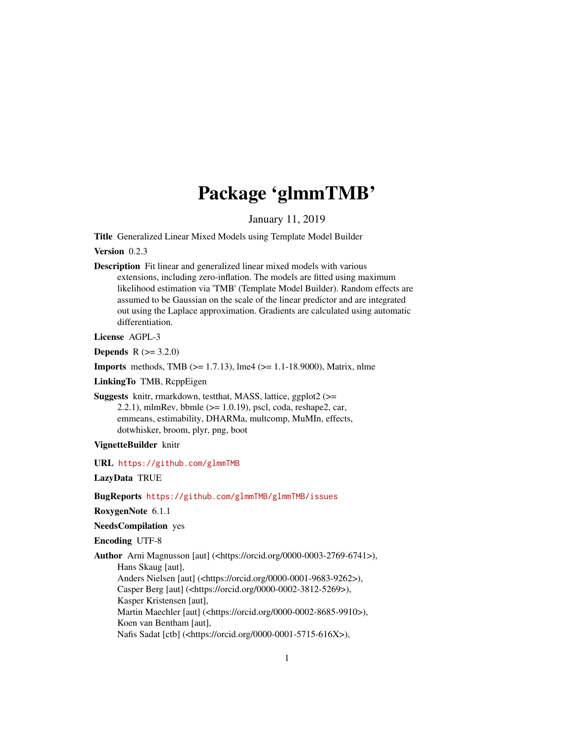# Package 'glmmTMB'

January 11, 2019

<span id="page-0-0"></span>Title Generalized Linear Mixed Models using Template Model Builder

Version 0.2.3

Description Fit linear and generalized linear mixed models with various extensions, including zero-inflation. The models are fitted using maximum likelihood estimation via 'TMB' (Template Model Builder). Random effects are assumed to be Gaussian on the scale of the linear predictor and are integrated out using the Laplace approximation. Gradients are calculated using automatic differentiation.

License AGPL-3

**Depends**  $R (= 3.2.0)$ 

**Imports** methods, TMB  $(>= 1.7.13)$ , lme4  $(>= 1.1-18.9000)$ , Matrix, nlme

LinkingTo TMB, RcppEigen

Suggests knitr, rmarkdown, testthat, MASS, lattice, ggplot2 (>= 2.2.1), mlmRev, bbmle  $(>= 1.0.19)$ , pscl, coda, reshape2, car, emmeans, estimability, DHARMa, multcomp, MuMIn, effects, dotwhisker, broom, plyr, png, boot

#### VignetteBuilder knitr

URL <https://github.com/glmmTMB>

LazyData TRUE

BugReports <https://github.com/glmmTMB/glmmTMB/issues>

RoxygenNote 6.1.1

NeedsCompilation yes

Encoding UTF-8

Author Arni Magnusson [aut] (<https://orcid.org/0000-0003-2769-6741>), Hans Skaug [aut], Anders Nielsen [aut] (<https://orcid.org/0000-0001-9683-9262>), Casper Berg [aut] (<https://orcid.org/0000-0002-3812-5269>), Kasper Kristensen [aut], Martin Maechler [aut] (<https://orcid.org/0000-0002-8685-9910>), Koen van Bentham [aut], Nafis Sadat [ctb] (<https://orcid.org/0000-0001-5715-616X>),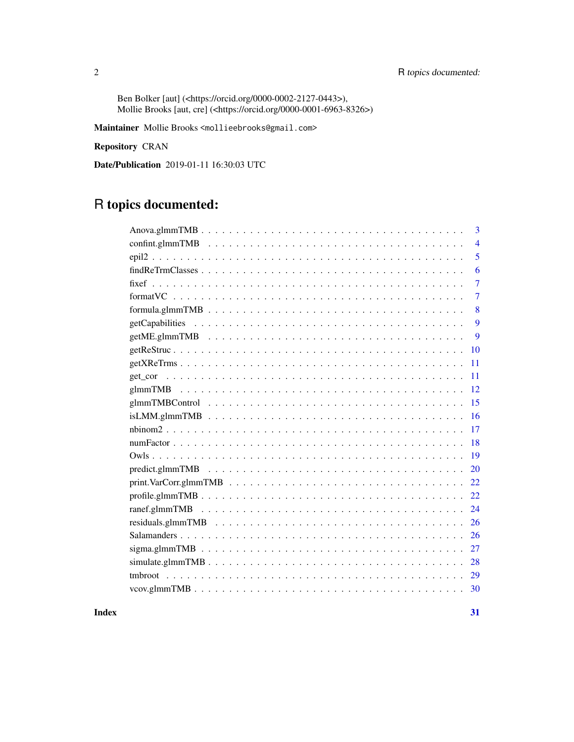Ben Bolker [aut] (<https://orcid.org/0000-0002-2127-0443>), Mollie Brooks [aut, cre] (<https://orcid.org/0000-0001-6963-8326>)

Maintainer Mollie Brooks <mollieebrooks@gmail.com>

Repository CRAN

Date/Publication 2019-01-11 16:30:03 UTC

# R topics documented:

| 3                                                                                                                                 |
|-----------------------------------------------------------------------------------------------------------------------------------|
| $\overline{4}$                                                                                                                    |
| 5                                                                                                                                 |
| 6                                                                                                                                 |
| 7                                                                                                                                 |
| $\overline{7}$                                                                                                                    |
| 8<br>$formula.g. \texttt{ImmTMB} \dots \dots \dots \dots \dots \dots \dots \dots \dots \dots \dots \dots \dots \dots \dots \dots$ |
| 9                                                                                                                                 |
| 9                                                                                                                                 |
| 10                                                                                                                                |
| 11                                                                                                                                |
| 11                                                                                                                                |
| 12                                                                                                                                |
| 15                                                                                                                                |
| 16                                                                                                                                |
| 17                                                                                                                                |
| 18                                                                                                                                |
| 19                                                                                                                                |
| 20                                                                                                                                |
| 22                                                                                                                                |
| $profile.glmmTMB$<br>22                                                                                                           |
| 24                                                                                                                                |
| 26                                                                                                                                |
| 26                                                                                                                                |
| 27                                                                                                                                |
| 28                                                                                                                                |
| 29                                                                                                                                |
| 30                                                                                                                                |

#### **Index** [31](#page-30-0)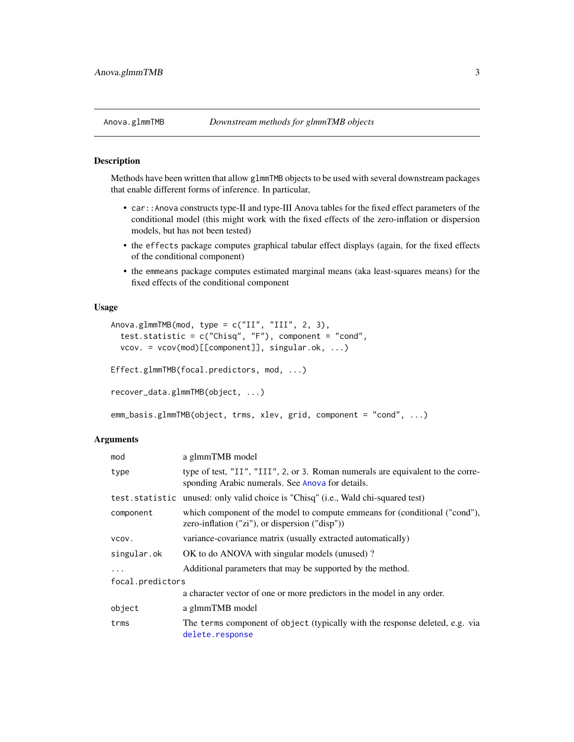#### <span id="page-2-0"></span>Description

Methods have been written that allow glmmTMB objects to be used with several downstream packages that enable different forms of inference. In particular,

- car::Anova constructs type-II and type-III Anova tables for the fixed effect parameters of the conditional model (this might work with the fixed effects of the zero-inflation or dispersion models, but has not been tested)
- the effects package computes graphical tabular effect displays (again, for the fixed effects of the conditional component)
- the emmeans package computes estimated marginal means (aka least-squares means) for the fixed effects of the conditional component

## Usage

```
Anova.glmmTMB(mod, type = c("II", "III", 2, 3),
  test.statistic = c("Chisq", "F"), component = "cond",
  vcov. = vcov(mod)[[component]], singular.ok, ...)
Effect.glmmTMB(focal.predictors, mod, ...)
recover_data.glmmTMB(object, ...)
emm_basis.glmmTMB(object, trms, xlev, grid, component = "cond", ...)
```

| mod              | a glmmTMB model                                                                                                                     |  |
|------------------|-------------------------------------------------------------------------------------------------------------------------------------|--|
| type             | type of test, "II", "III", 2, or 3. Roman numerals are equivalent to the corre-<br>sponding Arabic numerals. See Anova for details. |  |
| test.statistic   | unused: only valid choice is "Chisq" (i.e., Wald chi-squared test)                                                                  |  |
| component        | which component of the model to compute emmeans for (conditional ("cond"),<br>zero-inflation $("zi")$ , or dispersion $("disp")$ )  |  |
| VCOV.            | variance-covariance matrix (usually extracted automatically)                                                                        |  |
| singular.ok      | OK to do ANOVA with singular models (unused)?                                                                                       |  |
| $\ddots$ .       | Additional parameters that may be supported by the method.                                                                          |  |
| focal.predictors |                                                                                                                                     |  |
|                  | a character vector of one or more predictors in the model in any order.                                                             |  |
| object           | a glmmTMB model                                                                                                                     |  |
| trms             | The terms component of object (typically with the response deleted, e.g. via<br>delete.response                                     |  |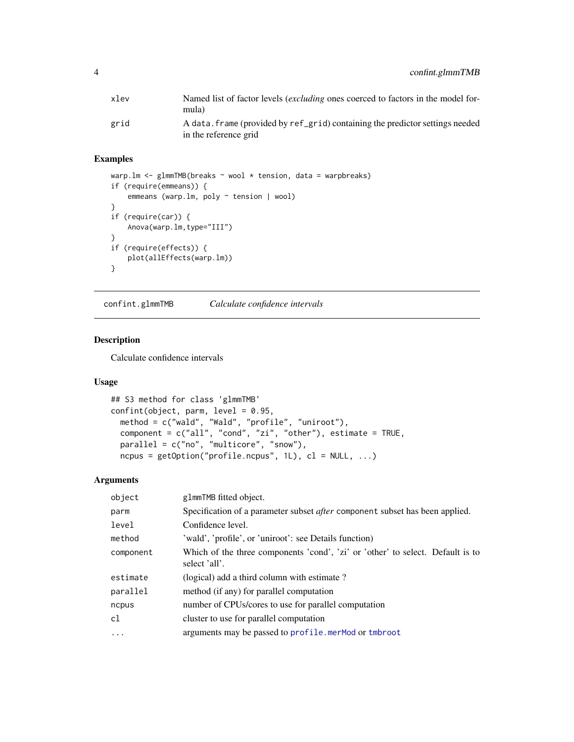<span id="page-3-0"></span>

| xlev | Named list of factor levels <i>(excluding ones coerced to factors in the model for-</i><br>mula)       |
|------|--------------------------------------------------------------------------------------------------------|
| grid | A data. frame (provided by ref_grid) containing the predictor settings needed<br>in the reference grid |

# Examples

```
warp.lm <- glmmTMB(breaks ~ wool * tension, data = warpbreaks)
if (require(emmeans)) {
   emmeans (warp.lm, poly ~ tension | wool)
}
if (require(car)) {
   Anova(warp.lm,type="III")
}
if (require(effects)) {
   plot(allEffects(warp.lm))
}
```
confint.glmmTMB *Calculate confidence intervals*

# Description

Calculate confidence intervals

# Usage

```
## S3 method for class 'glmmTMB'
confint(object, parm, level = 0.95,
 method = c("wald", "Wald", "profile", "uniroot"),
 component = c("all", "cond", "zi", "other"), estimate = TRUE,
 parallel = c("no", "multicore", "snow"),
 ncpus = getOption("profile.ncpus", 1L), cl = NULL, ...
```

| object     | g1mmTMB fitted object.                                                                          |  |
|------------|-------------------------------------------------------------------------------------------------|--|
| parm       | Specification of a parameter subset <i>after</i> component subset has been applied.             |  |
| level      | Confidence level.                                                                               |  |
| method     | 'wald', 'profile', or 'uniroot': see Details function)                                          |  |
| component  | Which of the three components 'cond', 'zi' or 'other' to select. Default is to<br>select 'all'. |  |
| estimate   | (logical) add a third column with estimate?                                                     |  |
| parallel   | method (if any) for parallel computation                                                        |  |
| ncpus      | number of CPUs/cores to use for parallel computation                                            |  |
| cl         | cluster to use for parallel computation                                                         |  |
| $\ddots$ . | arguments may be passed to profile.merMod or tmbroot                                            |  |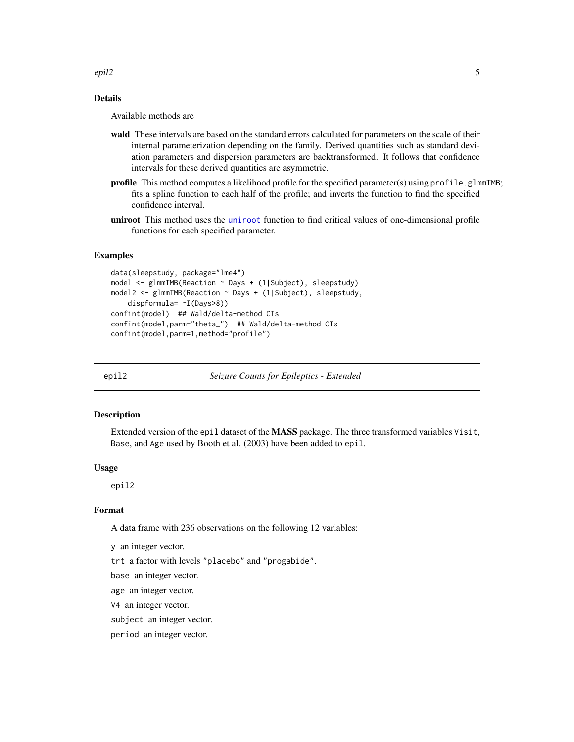<span id="page-4-0"></span>epil2 5

# Details

Available methods are

- wald These intervals are based on the standard errors calculated for parameters on the scale of their internal parameterization depending on the family. Derived quantities such as standard deviation parameters and dispersion parameters are backtransformed. It follows that confidence intervals for these derived quantities are asymmetric.
- profile This method computes a likelihood profile for the specified parameter(s) using profile.glmmTMB; fits a spline function to each half of the profile; and inverts the function to find the specified confidence interval.
- [uniroot](#page-0-0) This method uses the uniroot function to find critical values of one-dimensional profile functions for each specified parameter.

## Examples

```
data(sleepstudy, package="lme4")
model <- glmmTMB(Reaction ~ Days + (1|Subject), sleepstudy)
model2 <- glmmTMB(Reaction ~ Days + (1|Subject), sleepstudy,
    dispformula= ~I(Days>8))
confint(model) ## Wald/delta-method CIs
confint(model,parm="theta_") ## Wald/delta-method CIs
confint(model,parm=1,method="profile")
```
epil2 *Seizure Counts for Epileptics - Extended*

#### Description

Extended version of the epil dataset of the MASS package. The three transformed variables Visit, Base, and Age used by Booth et al. (2003) have been added to epil.

#### Usage

epil2

# Format

A data frame with 236 observations on the following 12 variables:

y an integer vector.

trt a factor with levels "placebo" and "progabide".

base an integer vector.

age an integer vector.

V4 an integer vector.

subject an integer vector.

period an integer vector.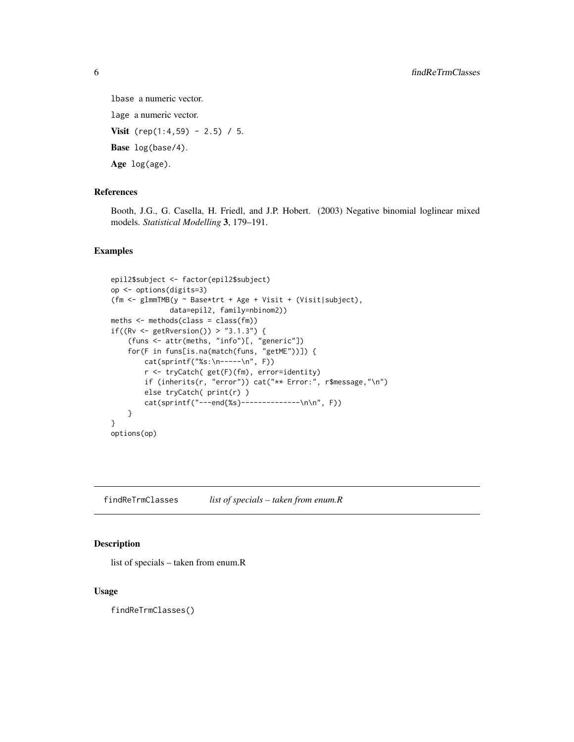```
lbase a numeric vector.
```
lage a numeric vector.

**Visit** (rep(1:4,59) - 2.5) / 5.

Base log(base/4).

Age log(age).

#### References

Booth, J.G., G. Casella, H. Friedl, and J.P. Hobert. (2003) Negative binomial loglinear mixed models. *Statistical Modelling* 3, 179–191.

# Examples

```
epil2$subject <- factor(epil2$subject)
op <- options(digits=3)
(fm <- glmmTMB(y ~ Base*trt + Age + Visit + (Visit|subject),
              data=epil2, family=nbinom2))
meths <- methods(class = class(fm))
if((Rv <- getRversion()) > "3.1.3") {
    (funs <- attr(meths, "info")[, "generic"])
    for(F in funs[is.na(match(funs, "getME"))]) {
        cat(sprintf("%s:\n-----\n", F))
        r <- tryCatch( get(F)(fm), error=identity)
       if (inherits(r, "error")) cat("** Error:", r$message,"\n")
        else tryCatch( print(r) )
        cat(sprintf("---end{%s}--------------\n\n", F))
    }
}
options(op)
```
findReTrmClasses *list of specials – taken from enum.R*

# Description

list of specials – taken from enum.R

# Usage

findReTrmClasses()

<span id="page-5-0"></span>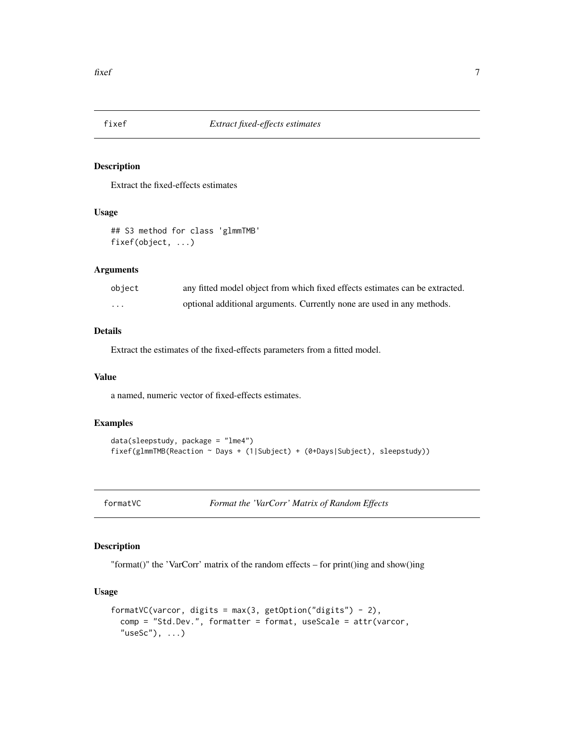<span id="page-6-0"></span>

# <span id="page-6-1"></span>Description

Extract the fixed-effects estimates

#### Usage

## S3 method for class 'glmmTMB' fixef(object, ...)

#### Arguments

| object | any fitted model object from which fixed effects estimates can be extracted. |
|--------|------------------------------------------------------------------------------|
| .      | optional additional arguments. Currently none are used in any methods.       |

# Details

Extract the estimates of the fixed-effects parameters from a fitted model.

# Value

a named, numeric vector of fixed-effects estimates.

# Examples

```
data(sleepstudy, package = "lme4")
fixef(glmmTMB(Reaction ~ Days + (1|Subject) + (0+Days|Subject), sleepstudy))
```
formatVC *Format the 'VarCorr' Matrix of Random Effects*

# Description

"format()" the 'VarCorr' matrix of the random effects – for print()ing and show()ing

# Usage

```
formatVC(varcor, digits = max(3, getOption("digits") - 2),
  comp = "Std.Dev.", formatter = format, useScale = attr(varcor,
  "useSc"), \ldots)
```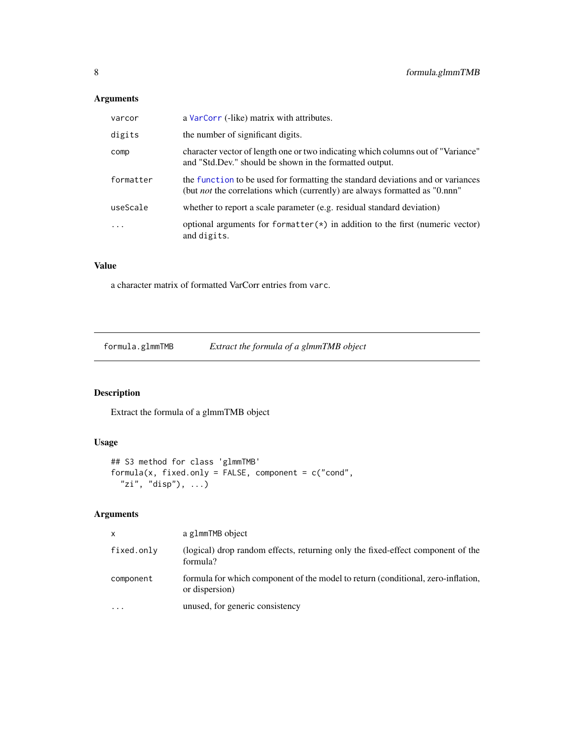# <span id="page-7-0"></span>Arguments

| varcor    | a VarCorr (-like) matrix with attributes.                                                                                                                             |
|-----------|-----------------------------------------------------------------------------------------------------------------------------------------------------------------------|
| digits    | the number of significant digits.                                                                                                                                     |
| comp      | character vector of length one or two indicating which columns out of "Variance"<br>and "Std.Dev." should be shown in the formatted output.                           |
| formatter | the function to be used for formatting the standard deviations and or variances<br>(but <i>not</i> the correlations which (currently) are always formatted as "0.nnn" |
| useScale  | whether to report a scale parameter (e.g. residual standard deviation)                                                                                                |
| $\cdot$   | optional arguments for formatter $(*)$ in addition to the first (numeric vector)<br>and digits.                                                                       |

# Value

a character matrix of formatted VarCorr entries from varc.

formula.glmmTMB *Extract the formula of a glmmTMB object*

# Description

Extract the formula of a glmmTMB object

# Usage

```
## S3 method for class 'glmmTMB'
formula(x, fixed.only = FALSE, component = c("cond","zi", "disp"), \ldots)
```

| $\mathsf{x}$ | a g1mmTMB object                                                                                   |
|--------------|----------------------------------------------------------------------------------------------------|
| fixed.only   | (logical) drop random effects, returning only the fixed-effect component of the<br>formula?        |
| component    | formula for which component of the model to return (conditional, zero-inflation,<br>or dispersion) |
| $\cdots$     | unused, for generic consistency                                                                    |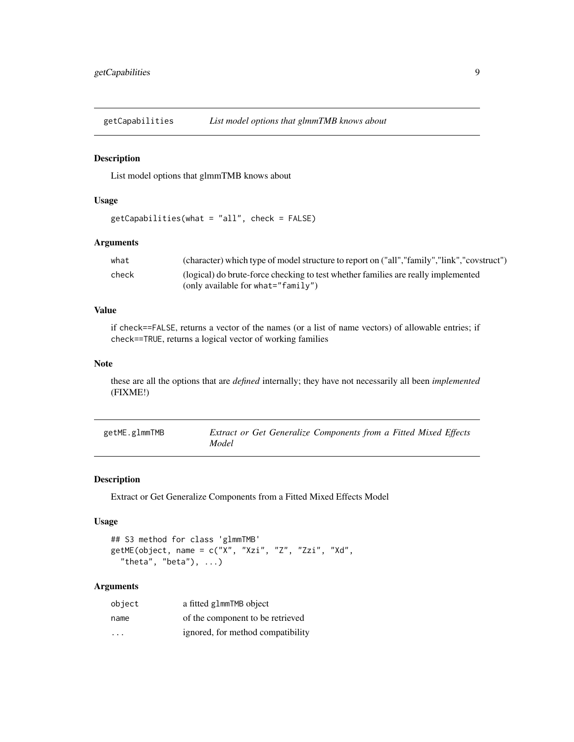<span id="page-8-0"></span>getCapabilities *List model options that glmmTMB knows about*

#### Description

List model options that glmmTMB knows about

# Usage

```
getCapabilities(what = "all", check = FALSE)
```
# Arguments

| what  | (character) which type of model structure to report on ("all","family","link","covstruct") |
|-------|--------------------------------------------------------------------------------------------|
| check | (logical) do brute-force checking to test whether families are really implemented          |
|       | (only available for what=" $f$ amily")                                                     |

# Value

if check==FALSE, returns a vector of the names (or a list of name vectors) of allowable entries; if check==TRUE, returns a logical vector of working families

# Note

these are all the options that are *defined* internally; they have not necessarily all been *implemented* (FIXME!)

| getME.glmmTMB | Extract or Get Generalize Components from a Fitted Mixed Effects |
|---------------|------------------------------------------------------------------|
|               | Model                                                            |

# <span id="page-8-1"></span>Description

Extract or Get Generalize Components from a Fitted Mixed Effects Model

# Usage

```
## S3 method for class 'glmmTMB'
getME(object, name = c("X", "Xzi", "Z", "Zzi", "Xd",
  "theta", "beta"), \dots)
```

| object                  | a fitted glmmTMB object           |
|-------------------------|-----------------------------------|
| name                    | of the component to be retrieved  |
| $\cdot$ $\cdot$ $\cdot$ | ignored, for method compatibility |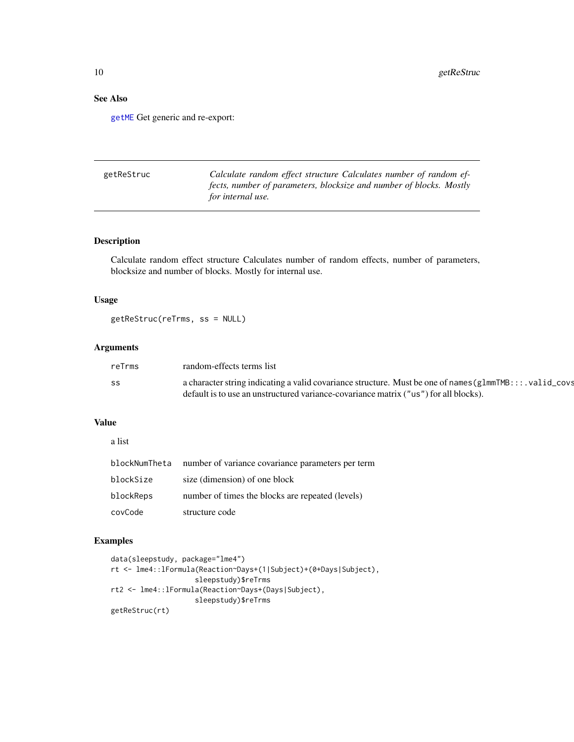# See Also

[getME](#page-8-1) Get generic and re-export:

| getReStruc | Calculate random effect structure Calculates number of random ef-   |
|------------|---------------------------------------------------------------------|
|            | fects, number of parameters, blocksize and number of blocks. Mostly |
|            | for internal use.                                                   |

# Description

Calculate random effect structure Calculates number of random effects, number of parameters, blocksize and number of blocks. Mostly for internal use.

# Usage

getReStruc(reTrms, ss = NULL)

# Arguments

| reTrms | random-effects terms list                                                                                   |
|--------|-------------------------------------------------------------------------------------------------------------|
| SS     | a character string indicating a valid covariance structure. Must be one of names ( $g1mmTMB$ ::: valid_covs |
|        | default is to use an unstructured variance-covariance matrix ("us") for all blocks).                        |

# Value

a list

| blockNumTheta | number of variance covariance parameters per term |
|---------------|---------------------------------------------------|
| blockSize     | size (dimension) of one block                     |
| blockReps     | number of times the blocks are repeated (levels)  |
| covCode       | structure code                                    |

# Examples

```
data(sleepstudy, package="lme4")
rt <- lme4::lFormula(Reaction~Days+(1|Subject)+(0+Days|Subject),
                    sleepstudy)$reTrms
rt2 <- lme4::lFormula(Reaction~Days+(Days|Subject),
                    sleepstudy)$reTrms
getReStruc(rt)
```
<span id="page-9-0"></span>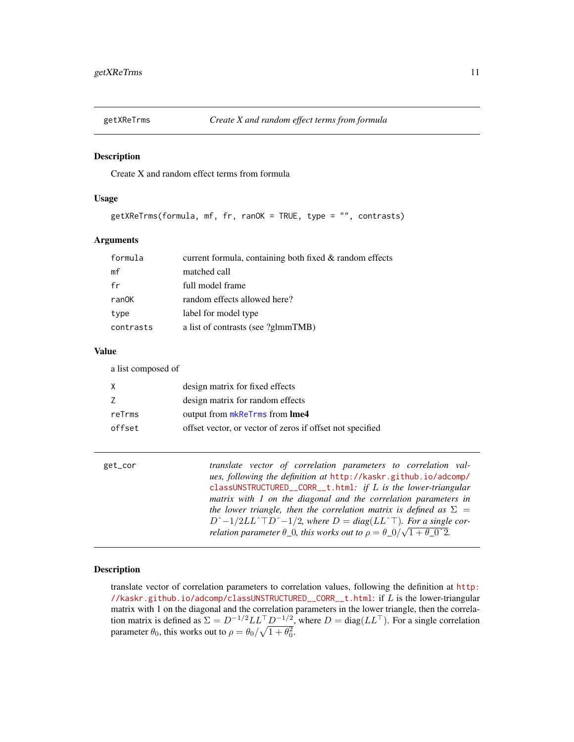<span id="page-10-0"></span>

# Description

Create X and random effect terms from formula

#### Usage

getXReTrms(formula, mf, fr, ranOK = TRUE, type = "", contrasts)

## Arguments

| formula   | current formula, containing both fixed & random effects |
|-----------|---------------------------------------------------------|
| mf        | matched call                                            |
| fr        | full model frame                                        |
| ranOK     | random effects allowed here?                            |
| type      | label for model type                                    |
| contrasts | a list of contrasts (see ?glmmTMB)                      |

# Value

a list composed of

|        | design matrix for fixed effects                           |
|--------|-----------------------------------------------------------|
|        | design matrix for random effects                          |
| reTrms | output from mkReTrms from Ime4                            |
| offset | offset vector, or vector of zeros if offset not specified |
|        |                                                           |

| get_cor | translate vector of correlation parameters to correlation val-                               |
|---------|----------------------------------------------------------------------------------------------|
|         | ues, following the definition at http://kaskr.github.io/adcomp/                              |
|         | classUNSTRUCTURED_CORR_t.html: if $L$ is the lower-triangular                                |
|         | matrix with 1 on the diagonal and the correlation parameters in                              |
|         | the lower triangle, then the correlation matrix is defined as $\Sigma =$                     |
|         | $D^{\sim}-1/2LL^{\sim}TD^{\sim}-1/2$ , where $D = diag(LL^{\sim}T)$ . For a single cor-      |
|         | relation parameter $\theta$ 0, this works out to $\rho = \theta_0 / \sqrt{1 + \theta_0^2}$ . |

# Description

translate vector of correlation parameters to correlation values, following the definition at [http:](http://kaskr.github.io/adcomp/classUNSTRUCTURED__CORR__t.html) [//kaskr.github.io/adcomp/classUNSTRUCTURED\\_\\_CORR\\_\\_t.html](http://kaskr.github.io/adcomp/classUNSTRUCTURED__CORR__t.html): if L is the lower-triangular matrix with 1 on the diagonal and the correlation parameters in the lower triangle, then the correlation matrix is defined as  $\Sigma = D^{-1/2} L L^{\top} D^{-1/2}$ , where  $D = \text{diag}(LL^{\top})$ . For a single correlation parameter  $\theta_0$ , this works out to  $\rho = \theta_0 / \sqrt{1 + \theta_0^2}$ .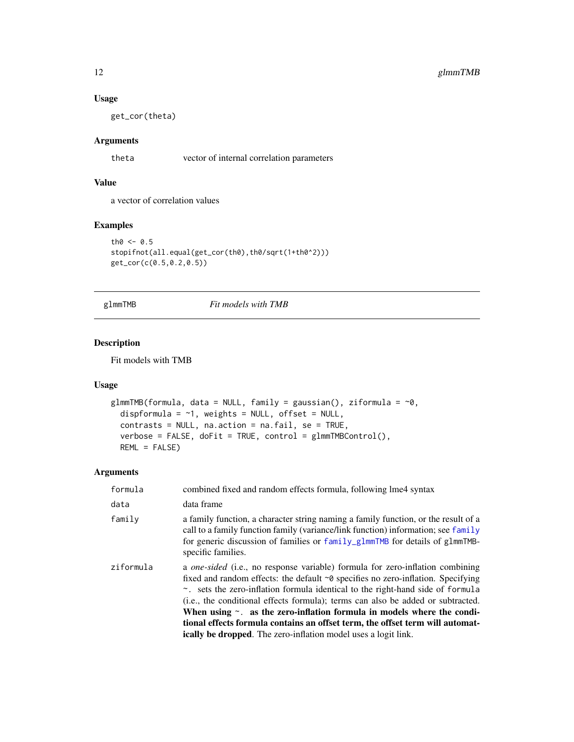# Usage

get\_cor(theta)

# Arguments

theta vector of internal correlation parameters

# Value

a vector of correlation values

# Examples

```
th0 < -0.5stopifnot(all.equal(get_cor(th0),th0/sqrt(1+th0^2)))
get_cor(c(0.5,0.2,0.5))
```
<span id="page-11-1"></span>glmmTMB *Fit models with TMB*

# Description

Fit models with TMB

# Usage

```
glmmTMB(formula, data = NULL, family = gaussian(), ziformula = \sim0,
  dispformula = \sim1, weights = NULL, offset = NULL,
  contrasts = NULL, na.action = na.fail, se = TRUE,
  verbose = FALSE, doFit = TRUE, control = glmmTMBControl(),
 REML = FALSE)
```

| formula   | combined fixed and random effects formula, following lme4 syntax                                                                                                                                                                                                                                                                                                                                                                                                                                                                                                                       |
|-----------|----------------------------------------------------------------------------------------------------------------------------------------------------------------------------------------------------------------------------------------------------------------------------------------------------------------------------------------------------------------------------------------------------------------------------------------------------------------------------------------------------------------------------------------------------------------------------------------|
| data      | data frame                                                                                                                                                                                                                                                                                                                                                                                                                                                                                                                                                                             |
| family    | a family function, a character string naming a family function, or the result of a<br>call to a family function family (variance/link function) information; see family<br>for generic discussion of families or family_glmmTMB for details of glmmTMB-<br>specific families.                                                                                                                                                                                                                                                                                                          |
| ziformula | a one-sided (i.e., no response variable) formula for zero-inflation combining<br>fixed and random effects: the default $\sim$ 0 specifies no zero-inflation. Specifying<br>~. sets the zero-inflation formula identical to the right-hand side of formula<br>(i.e., the conditional effects formula); terms can also be added or subtracted.<br>When using $\sim$ . as the zero-inflation formula in models where the condi-<br>tional effects formula contains an offset term, the offset term will automat-<br><b>ically be dropped.</b> The zero-inflation model uses a logit link. |
|           |                                                                                                                                                                                                                                                                                                                                                                                                                                                                                                                                                                                        |

<span id="page-11-0"></span>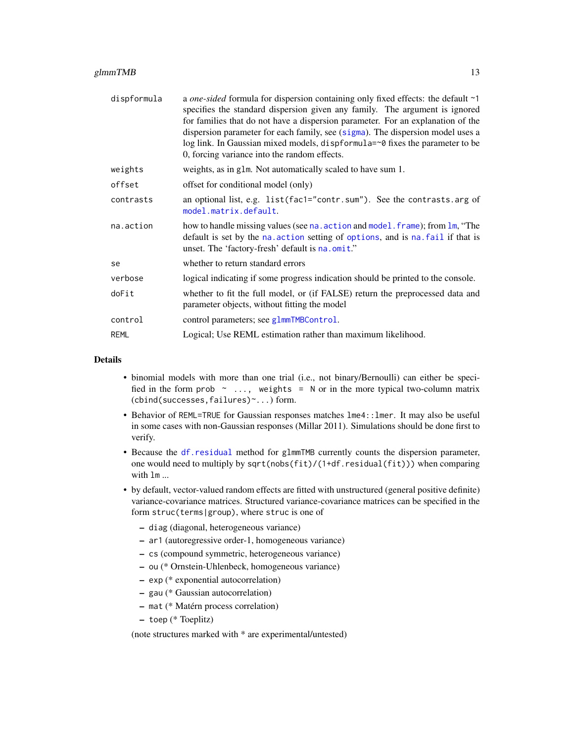# <span id="page-12-0"></span> $glmmTMB$  13

| dispformula | a <i>one-sided</i> formula for dispersion containing only fixed effects: the default ~1<br>specifies the standard dispersion given any family. The argument is ignored<br>for families that do not have a dispersion parameter. For an explanation of the<br>dispersion parameter for each family, see (sigma). The dispersion model uses a<br>log link. In Gaussian mixed models, dispformula=~0 fixes the parameter to be<br>0, forcing variance into the random effects. |
|-------------|-----------------------------------------------------------------------------------------------------------------------------------------------------------------------------------------------------------------------------------------------------------------------------------------------------------------------------------------------------------------------------------------------------------------------------------------------------------------------------|
| weights     | weights, as in g1m. Not automatically scaled to have sum 1.                                                                                                                                                                                                                                                                                                                                                                                                                 |
| offset      | offset for conditional model (only)                                                                                                                                                                                                                                                                                                                                                                                                                                         |
| contrasts   | an optional list, e.g. list(fac1="contr.sum"). See the contrasts.arg of<br>model.matrix.default.                                                                                                                                                                                                                                                                                                                                                                            |
| na.action   | how to handle missing values (see na. action and model. frame); from lm, "The<br>default is set by the na. action setting of options, and is na. fail if that is<br>unset. The 'factory-fresh' default is na.omit."                                                                                                                                                                                                                                                         |
| se          | whether to return standard errors                                                                                                                                                                                                                                                                                                                                                                                                                                           |
| verbose     | logical indicating if some progress indication should be printed to the console.                                                                                                                                                                                                                                                                                                                                                                                            |
| doFit       | whether to fit the full model, or (if FALSE) return the preprocessed data and<br>parameter objects, without fitting the model                                                                                                                                                                                                                                                                                                                                               |
| control     | control parameters; see g1mmTMBControl.                                                                                                                                                                                                                                                                                                                                                                                                                                     |
| <b>REML</b> | Logical; Use REML estimation rather than maximum likelihood.                                                                                                                                                                                                                                                                                                                                                                                                                |

# Details

- binomial models with more than one trial (i.e., not binary/Bernoulli) can either be specified in the form prob  $\sim$  ..., weights = N or in the more typical two-column matrix (cbind(successes,failures)~...) form.
- Behavior of REML=TRUE for Gaussian responses matches lme4:: lmer. It may also be useful in some cases with non-Gaussian responses (Millar 2011). Simulations should be done first to verify.
- Because the [df.residual](#page-0-0) method for glmmTMB currently counts the dispersion parameter, one would need to multiply by sqrt(nobs(fit)/(1+df.residual(fit))) when comparing with lm ...
- by default, vector-valued random effects are fitted with unstructured (general positive definite) variance-covariance matrices. Structured variance-covariance matrices can be specified in the form struc(terms|group), where struc is one of
	- diag (diagonal, heterogeneous variance)
	- ar1 (autoregressive order-1, homogeneous variance)
	- cs (compound symmetric, heterogeneous variance)
	- ou (\* Ornstein-Uhlenbeck, homogeneous variance)
	- exp (\* exponential autocorrelation)
	- gau (\* Gaussian autocorrelation)
	- mat (\* Matérn process correlation)
	- toep (\* Toeplitz)

(note structures marked with \* are experimental/untested)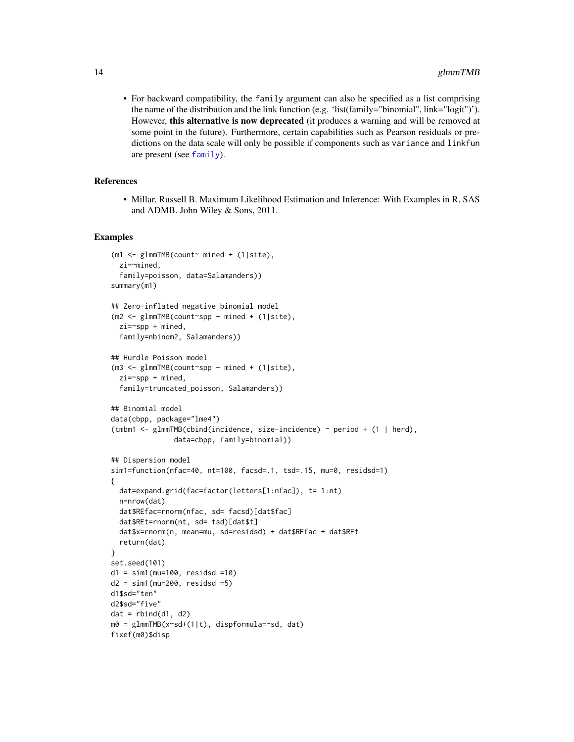<span id="page-13-0"></span>• For backward compatibility, the family argument can also be specified as a list comprising the name of the distribution and the link function (e.g. 'list(family="binomial", link="logit")'). However, this alternative is now deprecated (it produces a warning and will be removed at some point in the future). Furthermore, certain capabilities such as Pearson residuals or predictions on the data scale will only be possible if components such as variance and linkfun are present (see [family](#page-0-0)).

# References

• Millar, Russell B. Maximum Likelihood Estimation and Inference: With Examples in R, SAS and ADMB. John Wiley & Sons, 2011.

#### Examples

```
(m1 \leq -\gamma) glmmTMB(count~ mined + (1|site),
 zi=~mined,
 family=poisson, data=Salamanders))
summary(m1)
## Zero-inflated negative binomial model
(m2 <- glmmTMB(count~spp + mined + (1|site),
 zi = \text{sgp} + \text{mined},
 family=nbinom2, Salamanders))
## Hurdle Poisson model
(m3 <- glmmTMB(count~spp + mined + (1|site),
 zi=~spp + mined,
 family=truncated_poisson, Salamanders))
## Binomial model
data(cbpp, package="lme4")
(tmbm1 <- glmmTMB(cbind(incidence, size-incidence) ~ period + (1 | herd),
               data=cbpp, family=binomial))
## Dispersion model
sim1=function(nfac=40, nt=100, facsd=.1, tsd=.15, mu=0, residsd=1)
{
 dat=expand.grid(fac=factor(letters[1:nfac]), t= 1:nt)
 n=nrow(dat)
 dat$REfac=rnorm(nfac, sd= facsd)[dat$fac]
 dat$REt=rnorm(nt, sd= tsd)[dat$t]
 dat$x=rnorm(n, mean=mu, sd=residsd) + dat$REfac + dat$REt
 return(dat)
}
set.seed(101)
d1 = sim1(mu=100, residsd =10)
d2 = \sin 1 (mu=200, residsd =5)
d1$sd="ten"
d2$sd="five"
dat = rbind(d1, d2)m0 = glmmTMB(x~sd+(1|t), dispformula=~sd, dat)
fixef(m0)$disp
```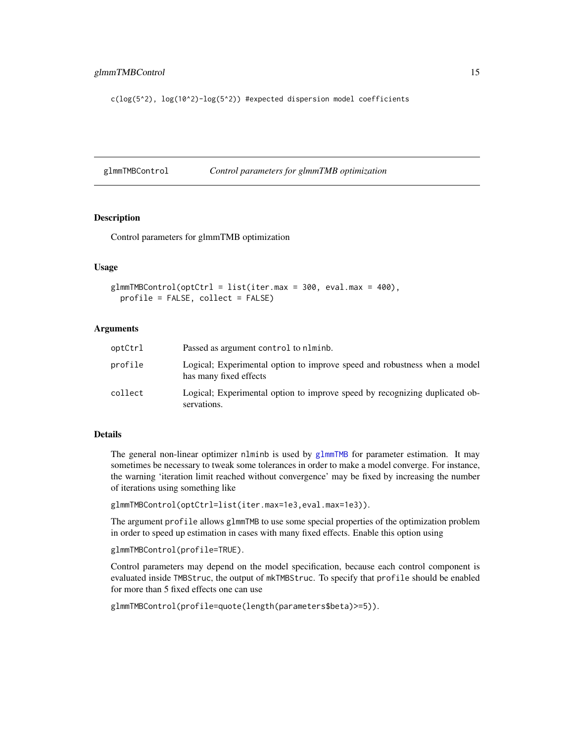<span id="page-14-0"></span>c(log(5^2), log(10^2)-log(5^2)) #expected dispersion model coefficients

<span id="page-14-1"></span>glmmTMBControl *Control parameters for glmmTMB optimization*

#### **Description**

Control parameters for glmmTMB optimization

# Usage

```
glmmTMBControl(optCtrl = list(iter.max = 300, eval.max = 400),profile = FALSE, collect = FALSE)
```
# Arguments

| optCtrl | Passed as argument control to nlminb.                                                               |
|---------|-----------------------------------------------------------------------------------------------------|
| profile | Logical; Experimental option to improve speed and robustness when a model<br>has many fixed effects |
| collect | Logical; Experimental option to improve speed by recognizing duplicated ob-<br>servations.          |

# Details

The general non-linear optimizer nlminb is used by [glmmTMB](#page-11-1) for parameter estimation. It may sometimes be necessary to tweak some tolerances in order to make a model converge. For instance, the warning 'iteration limit reached without convergence' may be fixed by increasing the number of iterations using something like

```
glmmTMBControl(optCtrl=list(iter.max=1e3,eval.max=1e3)).
```
The argument profile allows glmmTMB to use some special properties of the optimization problem in order to speed up estimation in cases with many fixed effects. Enable this option using

glmmTMBControl(profile=TRUE).

Control parameters may depend on the model specification, because each control component is evaluated inside TMBStruc, the output of mkTMBStruc. To specify that profile should be enabled for more than 5 fixed effects one can use

```
glmmTMBControl(profile=quote(length(parameters$beta)>=5)).
```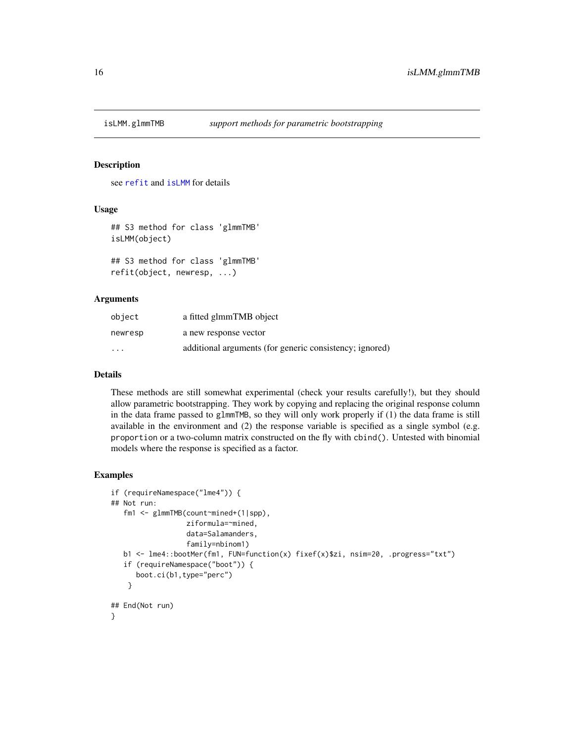<span id="page-15-0"></span>

# Description

see [refit](#page-0-0) and [isLMM](#page-0-0) for details

#### Usage

```
## S3 method for class 'glmmTMB'
isLMM(object)
```

```
## S3 method for class 'glmmTMB'
refit(object, newresp, ...)
```
# Arguments

| object                  | a fitted glmmTMB object                                 |
|-------------------------|---------------------------------------------------------|
| newresp                 | a new response vector                                   |
| $\cdot$ $\cdot$ $\cdot$ | additional arguments (for generic consistency; ignored) |

# Details

These methods are still somewhat experimental (check your results carefully!), but they should allow parametric bootstrapping. They work by copying and replacing the original response column in the data frame passed to glmmTMB, so they will only work properly if (1) the data frame is still available in the environment and (2) the response variable is specified as a single symbol (e.g. proportion or a two-column matrix constructed on the fly with cbind(). Untested with binomial models where the response is specified as a factor.

#### Examples

```
if (requireNamespace("lme4")) {
## Not run:
  fm1 <- glmmTMB(count~mined+(1|spp),
                  ziformula=~mined,
                  data=Salamanders,
                  family=nbinom1)
  b1 <- lme4::bootMer(fm1, FUN=function(x) fixef(x)$zi, nsim=20, .progress="txt")
   if (requireNamespace("boot")) {
     boot.ci(b1,type="perc")
   }
## End(Not run)
}
```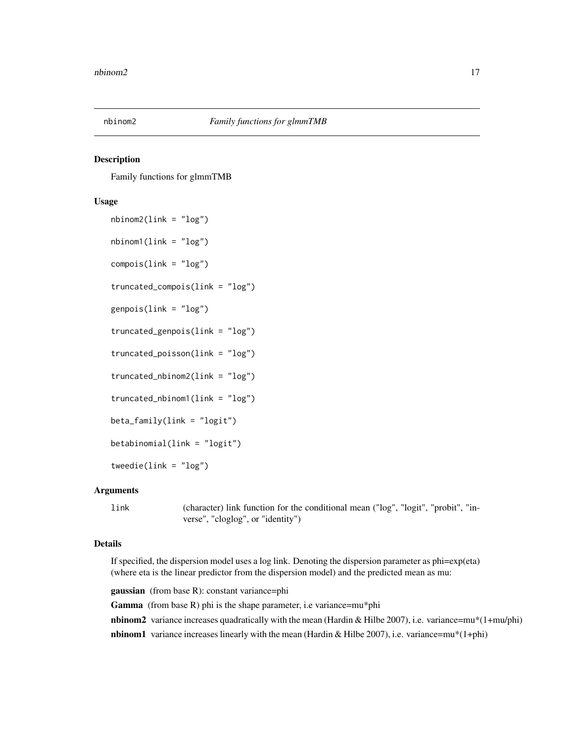<span id="page-16-0"></span>

# <span id="page-16-1"></span>Description

Family functions for glmmTMB

#### Usage

```
nbinom2(link = "log")
nbinom1(link = "log")
compois(link = "log")
truncated_compois(link = "log")
genpois(link = "log")
truncated_genpois(link = "log")
truncated_poisson(link = "log")
truncated_nbinom2(link = "log")
truncated_nbinom1(link = "log")
beta_family(link = "logit")
betabinomial(link = "logit")
tweedie(link = "log")
```
# Arguments

link (character) link function for the conditional mean ("log", "logit", "probit", "inverse", "cloglog", or "identity")

# Details

If specified, the dispersion model uses a log link. Denoting the dispersion parameter as phi=exp(eta) (where eta is the linear predictor from the dispersion model) and the predicted mean as mu:

gaussian (from base R): constant variance=phi

Gamma (from base R) phi is the shape parameter, i.e variance=mu\*phi

nbinom2 variance increases quadratically with the mean (Hardin & Hilbe 2007), i.e. variance=mu\*(1+mu/phi)

**nbinom1** variance increases linearly with the mean (Hardin & Hilbe 2007), i.e. variance=mu\*(1+phi)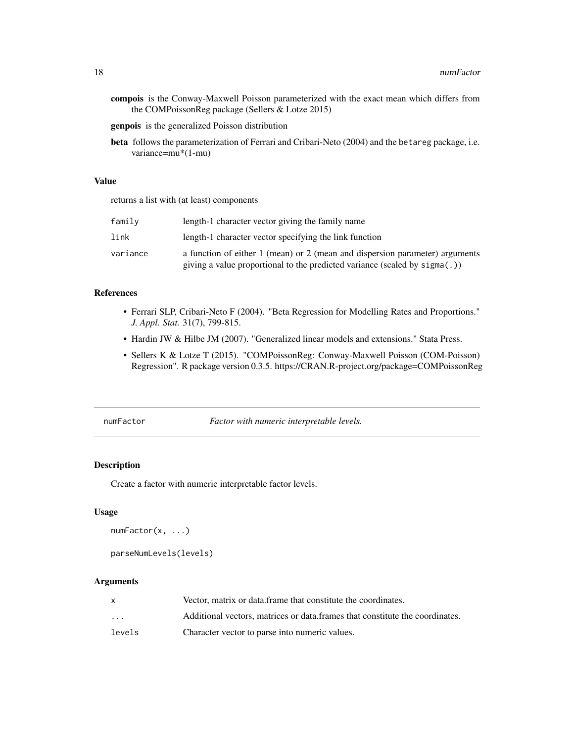<span id="page-17-0"></span>compois is the Conway-Maxwell Poisson parameterized with the exact mean which differs from the COMPoissonReg package (Sellers & Lotze 2015)

genpois is the generalized Poisson distribution

beta follows the parameterization of Ferrari and Cribari-Neto (2004) and the betareg package, i.e. variance=mu\*(1-mu)

# Value

returns a list with (at least) components

| family   | length-1 character vector giving the family name                                                                                                             |
|----------|--------------------------------------------------------------------------------------------------------------------------------------------------------------|
| link     | length-1 character vector specifying the link function                                                                                                       |
| variance | a function of either 1 (mean) or 2 (mean and dispersion parameter) arguments<br>giving a value proportional to the predicted variance (scaled by $sign(a)$ ) |

# References

- Ferrari SLP, Cribari-Neto F (2004). "Beta Regression for Modelling Rates and Proportions." *J. Appl. Stat.* 31(7), 799-815.
- Hardin JW & Hilbe JM (2007). "Generalized linear models and extensions." Stata Press.
- Sellers K & Lotze T (2015). "COMPoissonReg: Conway-Maxwell Poisson (COM-Poisson) Regression". R package version 0.3.5. https://CRAN.R-project.org/package=COMPoissonReg

numFactor *Factor with numeric interpretable levels.*

# Description

Create a factor with numeric interpretable factor levels.

#### Usage

```
numFactor(x, ...)
```

```
parseNumLevels(levels)
```

|                         | Vector, matrix or data frame that constitute the coordinates.                |
|-------------------------|------------------------------------------------------------------------------|
| $\cdot$ $\cdot$ $\cdot$ | Additional vectors, matrices or data frames that constitute the coordinates. |
| levels                  | Character vector to parse into numeric values.                               |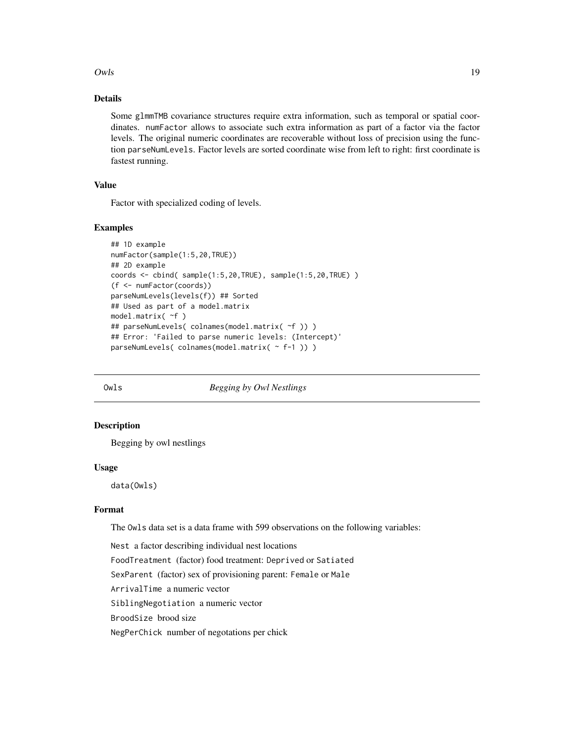<span id="page-18-0"></span> $Owls$  19

# Details

Some glmmTMB covariance structures require extra information, such as temporal or spatial coordinates. numFactor allows to associate such extra information as part of a factor via the factor levels. The original numeric coordinates are recoverable without loss of precision using the function parseNumLevels. Factor levels are sorted coordinate wise from left to right: first coordinate is fastest running.

# Value

Factor with specialized coding of levels.

# Examples

```
## 1D example
numFactor(sample(1:5,20,TRUE))
## 2D example
coords <- cbind( sample(1:5,20,TRUE), sample(1:5,20,TRUE) )
(f <- numFactor(coords))
parseNumLevels(levels(f)) ## Sorted
## Used as part of a model.matrix
model.matrix( ~f )
## parseNumLevels( colnames(model.matrix( ~f )) )
## Error: 'Failed to parse numeric levels: (Intercept)'
parseNumLevels( colnames(model.matrix( ~ f-1 )) )
```
Owls *Begging by Owl Nestlings*

#### Description

Begging by owl nestlings

#### Usage

data(Owls)

# Format

The Owls data set is a data frame with 599 observations on the following variables:

Nest a factor describing individual nest locations FoodTreatment (factor) food treatment: Deprived or Satiated SexParent (factor) sex of provisioning parent: Female or Male ArrivalTime a numeric vector SiblingNegotiation a numeric vector BroodSize brood size NegPerChick number of negotations per chick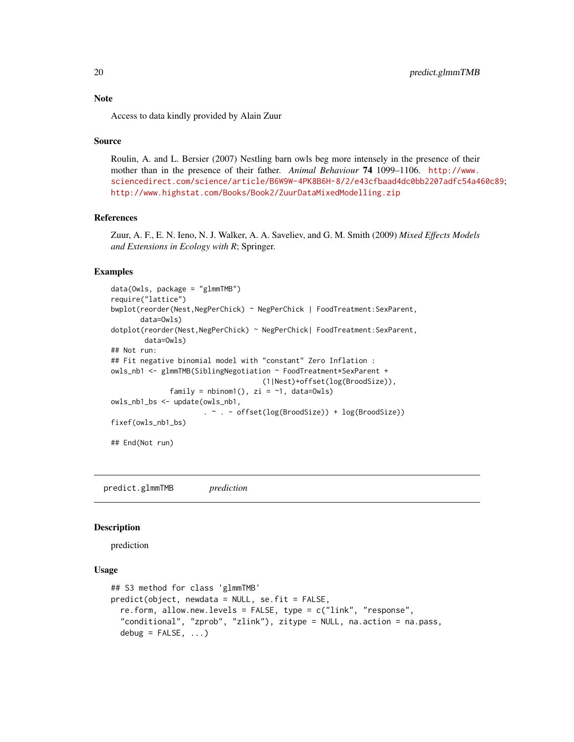Access to data kindly provided by Alain Zuur

#### Source

Roulin, A. and L. Bersier (2007) Nestling barn owls beg more intensely in the presence of their mother than in the presence of their father. *Animal Behaviour* 74 1099–1106. [http://www.](http://www.sciencedirect.com/science/article/B6W9W-4PK8B6H-8/2/e43cfbaad4dc0bb2207adfc54a460c89) [sciencedirect.com/science/article/B6W9W-4PK8B6H-8/2/e43cfbaad4dc0bb2207adfc54a460c89](http://www.sciencedirect.com/science/article/B6W9W-4PK8B6H-8/2/e43cfbaad4dc0bb2207adfc54a460c89); <http://www.highstat.com/Books/Book2/ZuurDataMixedModelling.zip>

#### References

Zuur, A. F., E. N. Ieno, N. J. Walker, A. A. Saveliev, and G. M. Smith (2009) *Mixed Effects Models and Extensions in Ecology with R*; Springer.

#### Examples

```
data(Owls, package = "glmmTMB")
require("lattice")
bwplot(reorder(Nest,NegPerChick) ~ NegPerChick | FoodTreatment:SexParent,
      data=Owls)
dotplot(reorder(Nest,NegPerChick) ~ NegPerChick| FoodTreatment:SexParent,
       data=Owls)
## Not run:
## Fit negative binomial model with "constant" Zero Inflation :
owls_nb1 <- glmmTMB(SiblingNegotiation ~ FoodTreatment*SexParent +
                                    (1|Nest)+offset(log(BroodSize)),
              family = nbinom(, zi = -1, data=0wlsowls_nb1_bs <- update(owls_nb1,
                      . ~ . - offset(log(BroodSize)) + log(BroodSize))
fixef(owls_nb1_bs)
## End(Not run)
```
predict.glmmTMB *prediction*

#### Description

prediction

# Usage

```
## S3 method for class 'glmmTMB'
predict(object, newdata = NULL, se.fit = FALSE,
  re.form, allow.new.levels = FALSE, type = c("link", "response",
  "conditional", "zprob", "zlink"), zitype = NULL, na.action = na.pass,
  debug = FALSE, \ldots)
```
<span id="page-19-0"></span>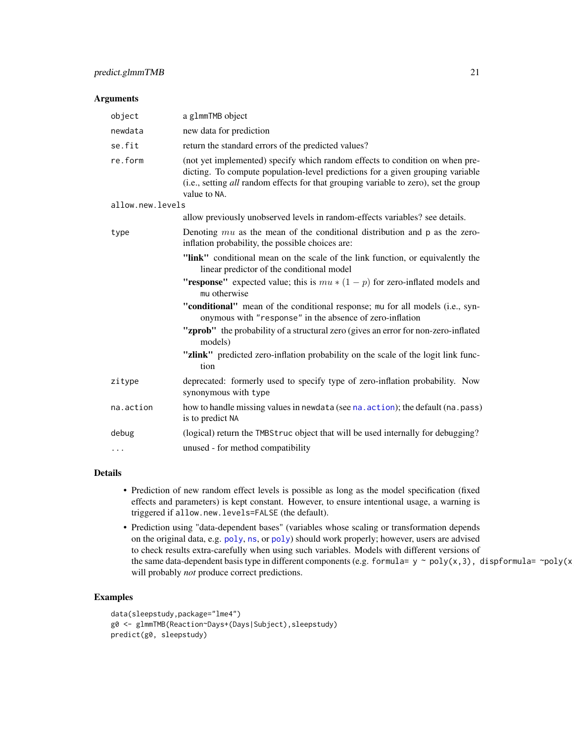# <span id="page-20-0"></span>Arguments

| object           | a g1mmTMB object                                                                                                                                                                                                                                                       |
|------------------|------------------------------------------------------------------------------------------------------------------------------------------------------------------------------------------------------------------------------------------------------------------------|
| newdata          | new data for prediction                                                                                                                                                                                                                                                |
| se.fit           | return the standard errors of the predicted values?                                                                                                                                                                                                                    |
| re.form          | (not yet implemented) specify which random effects to condition on when pre-<br>dicting. To compute population-level predictions for a given grouping variable<br>(i.e., setting all random effects for that grouping variable to zero), set the group<br>value to NA. |
| allow.new.levels |                                                                                                                                                                                                                                                                        |
|                  | allow previously unobserved levels in random-effects variables? see details.                                                                                                                                                                                           |
| type             | Denoting $mu$ as the mean of the conditional distribution and $p$ as the zero-<br>inflation probability, the possible choices are:                                                                                                                                     |
|                  | "link" conditional mean on the scale of the link function, or equivalently the<br>linear predictor of the conditional model                                                                                                                                            |
|                  | "response" expected value; this is $mu * (1 - p)$ for zero-inflated models and<br>mu otherwise                                                                                                                                                                         |
|                  | "conditional" mean of the conditional response; mu for all models (i.e., syn-<br>onymous with "response" in the absence of zero-inflation                                                                                                                              |
|                  | "zprob" the probability of a structural zero (gives an error for non-zero-inflated<br>models)                                                                                                                                                                          |
|                  | "zlink" predicted zero-inflation probability on the scale of the logit link func-<br>tion                                                                                                                                                                              |
| zitype           | deprecated: formerly used to specify type of zero-inflation probability. Now<br>synonymous with type                                                                                                                                                                   |
| na.action        | how to handle missing values in newdata (see na. action); the default (na. pass)<br>is to predict NA                                                                                                                                                                   |
| debug            | (logical) return the TMBStruc object that will be used internally for debugging?                                                                                                                                                                                       |
| .                | unused - for method compatibility                                                                                                                                                                                                                                      |

#### Details

- Prediction of new random effect levels is possible as long as the model specification (fixed effects and parameters) is kept constant. However, to ensure intentional usage, a warning is triggered if allow.new.levels=FALSE (the default).
- Prediction using "data-dependent bases" (variables whose scaling or transformation depends on the original data, e.g. [poly](#page-0-0), [ns](#page-0-0), or [poly](#page-0-0)) should work properly; however, users are advised to check results extra-carefully when using such variables. Models with different versions of the same data-dependent basis type in different components (e.g. formula=  $y \sim poly(x,3)$ , dispformula= ~poly(x will probably *not* produce correct predictions.

# Examples

```
data(sleepstudy,package="lme4")
g0 <- glmmTMB(Reaction~Days+(Days|Subject),sleepstudy)
predict(g0, sleepstudy)
```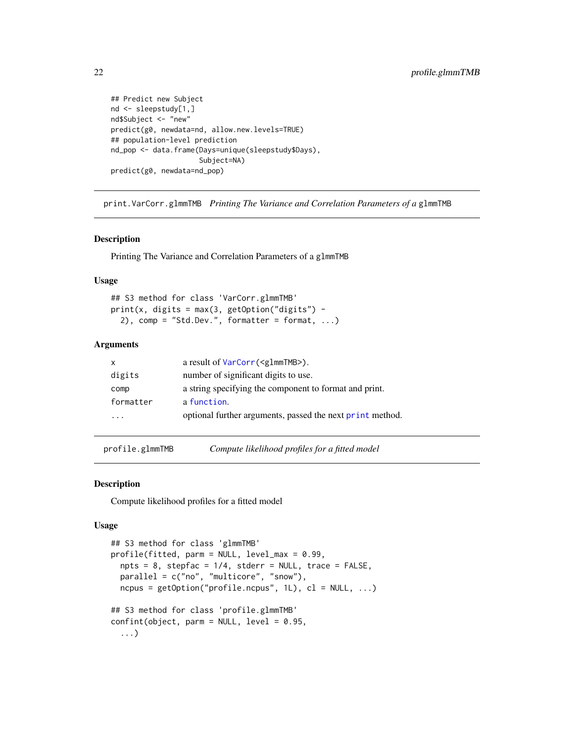```
## Predict new Subject
nd <- sleepstudy[1,]
nd$Subject <- "new"
predict(g0, newdata=nd, allow.new.levels=TRUE)
## population-level prediction
nd_pop <- data.frame(Days=unique(sleepstudy$Days),
                     Subject=NA)
predict(g0, newdata=nd_pop)
```
print.VarCorr.glmmTMB *Printing The Variance and Correlation Parameters of a* glmmTMB

#### Description

Printing The Variance and Correlation Parameters of a glmmTMB

#### Usage

```
## S3 method for class 'VarCorr.glmmTMB'
print(x, digits = max(3, getOption("digits") -2), comp = "Std.Dev.", formatter = format, ...)
```
# Arguments

| X         | a result of VarCorr( <g1mmtmb>).</g1mmtmb>                |
|-----------|-----------------------------------------------------------|
| digits    | number of significant digits to use.                      |
| comp      | a string specifying the component to format and print.    |
| formatter | a function.                                               |
| .         | optional further arguments, passed the next print method. |

profile.glmmTMB *Compute likelihood profiles for a fitted model*

#### Description

Compute likelihood profiles for a fitted model

#### Usage

```
## S3 method for class 'glmmTMB'
profile(fitted, parm = NULL, level_max = 0.99,
  npts = 8, stepfac = 1/4, stderr = NULL, trace = FALSE,
 parallel = c("no", "multicore", "snow"),
 ncpus = getOption("profile.ncpus", 1L), cl = NULL, ...## S3 method for class 'profile.glmmTMB'
confint(object, parm = NULL, level = 0.95,
  ...)
```
<span id="page-21-0"></span>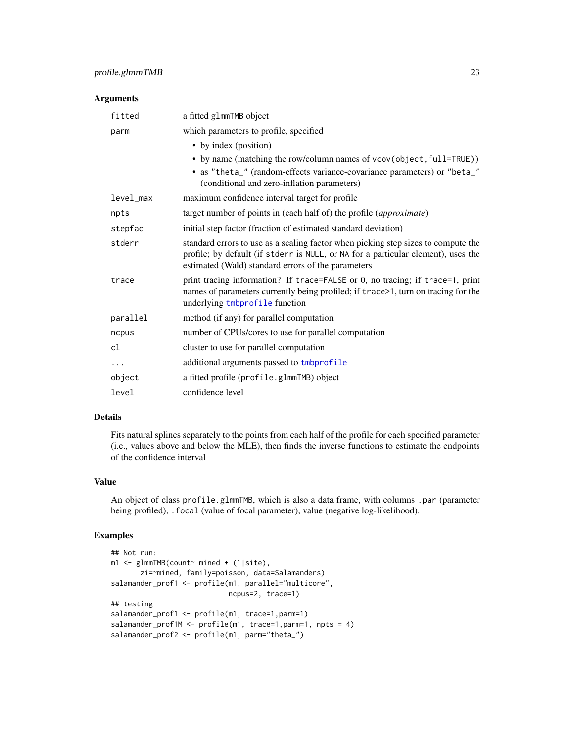# <span id="page-22-0"></span>Arguments

| fitted    | a fitted g1mmTMB object                                                                                                                                                                                                      |
|-----------|------------------------------------------------------------------------------------------------------------------------------------------------------------------------------------------------------------------------------|
| parm      | which parameters to profile, specified                                                                                                                                                                                       |
|           | • by index (position)<br>• by name (matching the row/column names of vcov(object, full=TRUE))<br>• as "theta_" (random-effects variance-covariance parameters) or "beta_"<br>(conditional and zero-inflation parameters)     |
| level max | maximum confidence interval target for profile                                                                                                                                                                               |
| npts      | target number of points in (each half of) the profile ( <i>approximate</i> )                                                                                                                                                 |
| stepfac   | initial step factor (fraction of estimated standard deviation)                                                                                                                                                               |
| stderr    | standard errors to use as a scaling factor when picking step sizes to compute the<br>profile; by default (if stderr is NULL, or NA for a particular element), uses the<br>estimated (Wald) standard errors of the parameters |
| trace     | print tracing information? If trace=FALSE or 0, no tracing; if trace=1, print<br>names of parameters currently being profiled; if trace>1, turn on tracing for the<br>underlying tmbprofile function                         |
| parallel  | method (if any) for parallel computation                                                                                                                                                                                     |
| ncpus     | number of CPUs/cores to use for parallel computation                                                                                                                                                                         |
| cl        | cluster to use for parallel computation                                                                                                                                                                                      |
| $\cdots$  | additional arguments passed to tmbprofile                                                                                                                                                                                    |
| object    | a fitted profile (profile.glmmTMB) object                                                                                                                                                                                    |
| level     | confidence level                                                                                                                                                                                                             |

# Details

Fits natural splines separately to the points from each half of the profile for each specified parameter (i.e., values above and below the MLE), then finds the inverse functions to estimate the endpoints of the confidence interval

# Value

An object of class profile.glmmTMB, which is also a data frame, with columns .par (parameter being profiled), .focal (value of focal parameter), value (negative log-likelihood).

# Examples

```
## Not run:
m1 <- glmmTMB(count~ mined + (1|site),
       zi=~mined, family=poisson, data=Salamanders)
salamander_prof1 <- profile(m1, parallel="multicore",
                           ncpus=2, trace=1)
## testing
salamander_prof1 <- profile(m1, trace=1,parm=1)
salamander_prof1M <- profile(m1, trace=1,parm=1, npts = 4)
salamander_prof2 <- profile(m1, parm="theta_")
```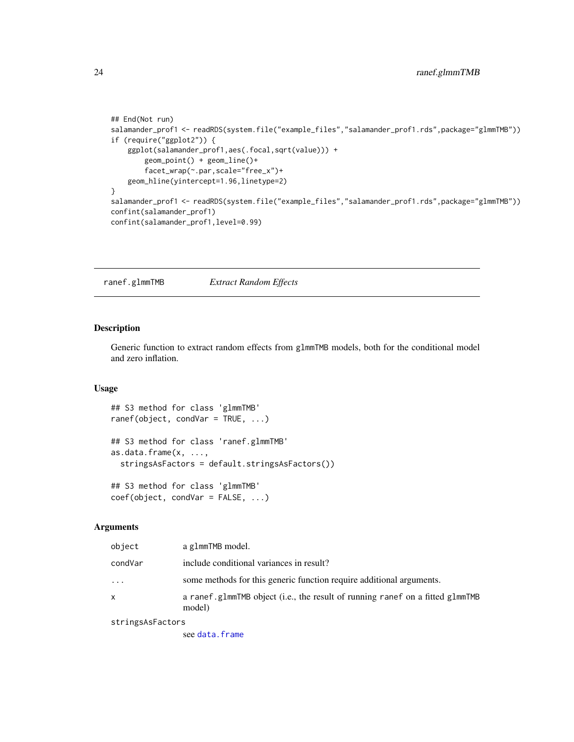```
## End(Not run)
salamander_prof1 <- readRDS(system.file("example_files","salamander_prof1.rds",package="glmmTMB"))
if (require("ggplot2")) {
   ggplot(salamander_prof1,aes(.focal,sqrt(value))) +
       geom_point() + geom_line()+
       facet_wrap(~.par,scale="free_x")+
   geom_hline(yintercept=1.96,linetype=2)
}
salamander_prof1 <- readRDS(system.file("example_files","salamander_prof1.rds",package="glmmTMB"))
confint(salamander_prof1)
confint(salamander_prof1,level=0.99)
```
ranef.glmmTMB *Extract Random Effects*

# Description

Generic function to extract random effects from glmmTMB models, both for the conditional model and zero inflation.

#### Usage

```
## S3 method for class 'glmmTMB'
ranef(object, condVar = TRUE, ...)
## S3 method for class 'ranef.glmmTMB'
as.data.frame(x, ...,
  stringsAsFactors = default.stringsAsFactors())
## S3 method for class 'glmmTMB'
coef(object, condVar = FALSE, ...)
```
#### Arguments

| object   | a g1mmTMB model.                                                                        |
|----------|-----------------------------------------------------------------------------------------|
| condVar  | include conditional variances in result?                                                |
| $\cdots$ | some methods for this generic function require additional arguments.                    |
| X        | a ranef glmmTMB object (i.e., the result of running ranef on a fitted glmmTMB<br>model) |

stringsAsFactors

see [data.frame](#page-0-0)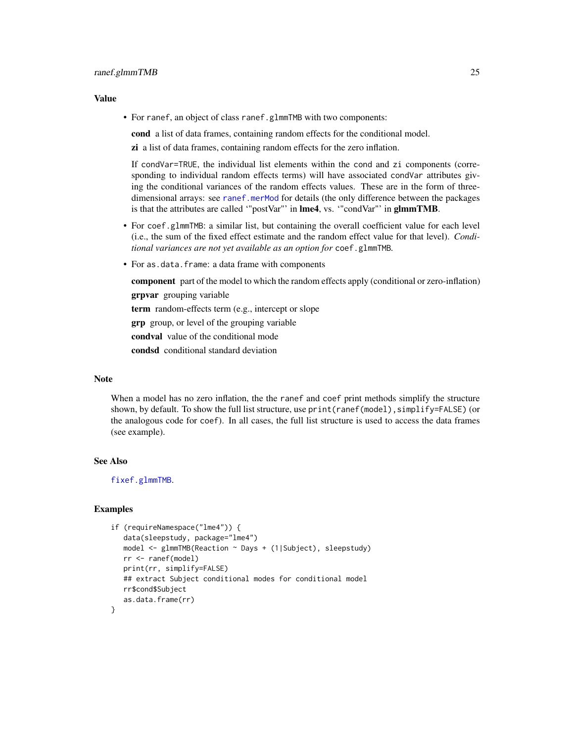#### <span id="page-24-0"></span>Value

• For ranef, an object of class ranef.glmmTMB with two components:

cond a list of data frames, containing random effects for the conditional model.

zi a list of data frames, containing random effects for the zero inflation.

If condVar=TRUE, the individual list elements within the cond and zi components (corresponding to individual random effects terms) will have associated condVar attributes giving the conditional variances of the random effects values. These are in the form of threedimensional arrays: see [ranef.merMod](#page-0-0) for details (the only difference between the packages is that the attributes are called "postVar"' in lme4, vs. "condVar"' in glmmTMB.

- For coef.glmmTMB: a similar list, but containing the overall coefficient value for each level (i.e., the sum of the fixed effect estimate and the random effect value for that level). *Conditional variances are not yet available as an option for* coef.glmmTMB*.*
- For as.data.frame: a data frame with components

component part of the model to which the random effects apply (conditional or zero-inflation) grpvar grouping variable term random-effects term (e.g., intercept or slope grp group, or level of the grouping variable condval value of the conditional mode condsd conditional standard deviation

#### **Note**

When a model has no zero inflation, the the ranef and coef print methods simplify the structure shown, by default. To show the full list structure, use print(ranef(model), simplify=FALSE) (or the analogous code for coef). In all cases, the full list structure is used to access the data frames (see example).

# See Also

[fixef.glmmTMB](#page-6-1).

#### Examples

```
if (requireNamespace("lme4")) {
  data(sleepstudy, package="lme4")
  model <- glmmTMB(Reaction ~ Days + (1|Subject), sleepstudy)
  rr <- ranef(model)
   print(rr, simplify=FALSE)
   ## extract Subject conditional modes for conditional model
  rr$cond$Subject
  as.data.frame(rr)
}
```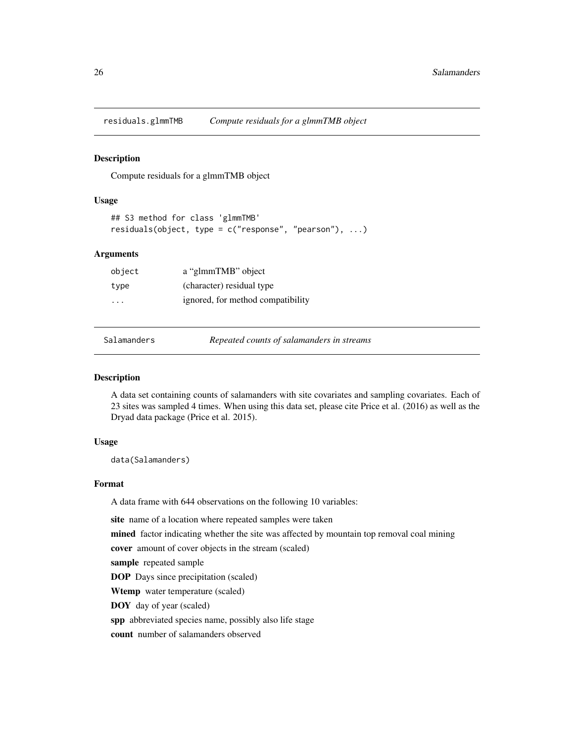<span id="page-25-0"></span>residuals.glmmTMB *Compute residuals for a glmmTMB object*

#### Description

Compute residuals for a glmmTMB object

# Usage

```
## S3 method for class 'glmmTMB'
residuals(object, type = c("response", "pearson"), ...)
```
#### Arguments

| object                  | a "glmmTMB" object                |
|-------------------------|-----------------------------------|
| type                    | (character) residual type         |
| $\cdot$ $\cdot$ $\cdot$ | ignored, for method compatibility |

Salamanders *Repeated counts of salamanders in streams*

#### Description

A data set containing counts of salamanders with site covariates and sampling covariates. Each of 23 sites was sampled 4 times. When using this data set, please cite Price et al. (2016) as well as the Dryad data package (Price et al. 2015).

# Usage

data(Salamanders)

# Format

A data frame with 644 observations on the following 10 variables:

site name of a location where repeated samples were taken

mined factor indicating whether the site was affected by mountain top removal coal mining

cover amount of cover objects in the stream (scaled)

sample repeated sample

DOP Days since precipitation (scaled)

Wtemp water temperature (scaled)

DOY day of year (scaled)

spp abbreviated species name, possibly also life stage

count number of salamanders observed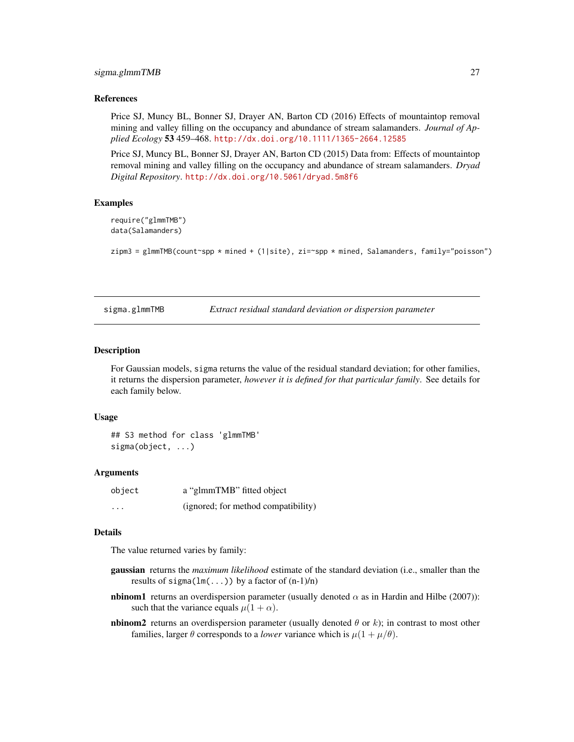#### <span id="page-26-0"></span>sigma.glmmTMB 27

#### References

Price SJ, Muncy BL, Bonner SJ, Drayer AN, Barton CD (2016) Effects of mountaintop removal mining and valley filling on the occupancy and abundance of stream salamanders. *Journal of Applied Ecology* 53 459–468. <http://dx.doi.org/10.1111/1365-2664.12585>

Price SJ, Muncy BL, Bonner SJ, Drayer AN, Barton CD (2015) Data from: Effects of mountaintop removal mining and valley filling on the occupancy and abundance of stream salamanders. *Dryad Digital Repository*. <http://dx.doi.org/10.5061/dryad.5m8f6>

#### Examples

```
require("glmmTMB")
data(Salamanders)
```

```
zipm3 = glmmTMB(count~spp * mined + (1|site), zi=~spp * mined, Salamanders, family="poisson")
```
sigma.glmmTMB *Extract residual standard deviation or dispersion parameter*

#### <span id="page-26-1"></span>Description

For Gaussian models, sigma returns the value of the residual standard deviation; for other families, it returns the dispersion parameter, *however it is defined for that particular family*. See details for each family below.

#### Usage

```
## S3 method for class 'glmmTMB'
sigma(object, ...)
```
# Arguments

| object   | a "glmmTMB" fitted object           |
|----------|-------------------------------------|
| $\cdots$ | (ignored; for method compatibility) |

#### Details

The value returned varies by family:

- gaussian returns the *maximum likelihood* estimate of the standard deviation (i.e., smaller than the results of  $sigma(lm(...))$  by a factor of  $(n-1)/n$ )
- **nbinom1** returns an overdispersion parameter (usually denoted  $\alpha$  as in Hardin and Hilbe (2007)): such that the variance equals  $\mu(1 + \alpha)$ .
- **nbinom2** returns an overdispersion parameter (usually denoted  $\theta$  or k); in contrast to most other families, larger  $\theta$  corresponds to a *lower* variance which is  $\mu(1 + \mu/\theta)$ .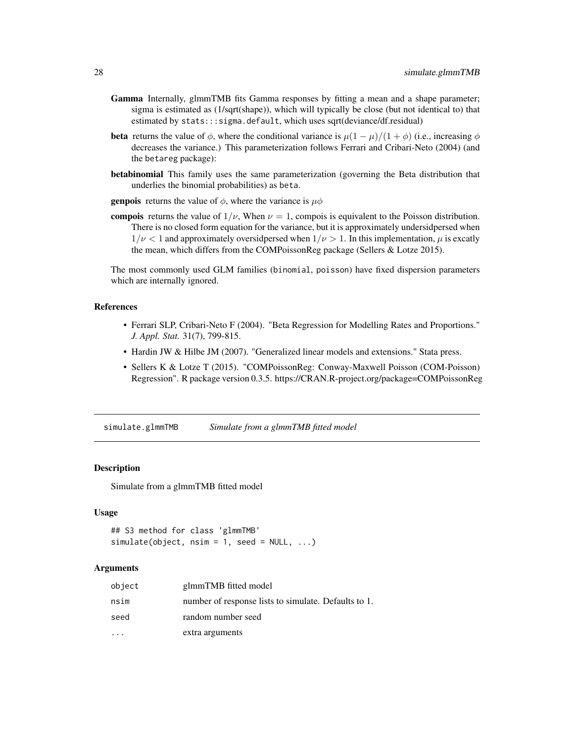- <span id="page-27-0"></span>Gamma Internally, glmmTMB fits Gamma responses by fitting a mean and a shape parameter; sigma is estimated as (1/sqrt(shape)), which will typically be close (but not identical to) that estimated by stats:::sigma.default, which uses sqrt(deviance/df.residual)
- **beta** returns the value of  $\phi$ , where the conditional variance is  $\mu(1-\mu)/(1+\phi)$  (i.e., increasing  $\phi$ decreases the variance.) This parameterization follows Ferrari and Cribari-Neto (2004) (and the betareg package):
- betabinomial This family uses the same parameterization (governing the Beta distribution that underlies the binomial probabilities) as beta.
- **genpois** returns the value of  $\phi$ , where the variance is  $\mu\phi$
- compois returns the value of  $1/\nu$ , When  $\nu = 1$ , compois is equivalent to the Poisson distribution. There is no closed form equation for the variance, but it is approximately undersidpersed when  $1/\nu < 1$  and approximately oversidpersed when  $1/\nu > 1$ . In this implementation,  $\mu$  is excatly the mean, which differs from the COMPoissonReg package (Sellers & Lotze 2015).

The most commonly used GLM families (binomial, poisson) have fixed dispersion parameters which are internally ignored.

# References

- Ferrari SLP, Cribari-Neto F (2004). "Beta Regression for Modelling Rates and Proportions." *J. Appl. Stat.* 31(7), 799-815.
- Hardin JW & Hilbe JM (2007). "Generalized linear models and extensions." Stata press.
- Sellers K & Lotze T (2015). "COMPoissonReg: Conway-Maxwell Poisson (COM-Poisson) Regression". R package version 0.3.5. https://CRAN.R-project.org/package=COMPoissonReg

simulate.glmmTMB *Simulate from a glmmTMB fitted model*

#### Description

Simulate from a glmmTMB fitted model

#### Usage

```
## S3 method for class 'glmmTMB'
simulate(object, nsim = 1, seed = NULL, ...)
```

| object | glmmTMB fitted model                                 |
|--------|------------------------------------------------------|
| nsim   | number of response lists to simulate. Defaults to 1. |
| seed   | random number seed                                   |
|        | extra arguments                                      |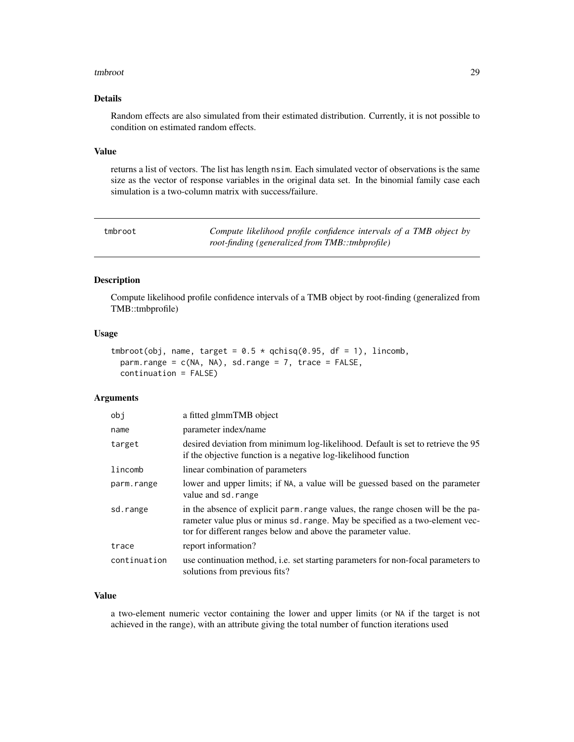#### <span id="page-28-0"></span>tmbroot 29

# Details

Random effects are also simulated from their estimated distribution. Currently, it is not possible to condition on estimated random effects.

# Value

returns a list of vectors. The list has length nsim. Each simulated vector of observations is the same size as the vector of response variables in the original data set. In the binomial family case each simulation is a two-column matrix with success/failure.

<span id="page-28-1"></span>

| tmbroot | Compute likelihood profile confidence intervals of a TMB object by |
|---------|--------------------------------------------------------------------|
|         | <i>root-finding (generalized from TMB::tmbprofile)</i>             |

#### Description

Compute likelihood profile confidence intervals of a TMB object by root-finding (generalized from TMB::tmbprofile)

#### Usage

```
tmbroot(obj, name, target = 0.5 * qchisq(0.95, df = 1), lincomb,
 parm.range = c(NA, NA), sd.range = 7, trace = FALSE,
 continuation = FALSE)
```
#### Arguments

| obi          | a fitted glmmTMB object                                                                                                                                                                                                           |
|--------------|-----------------------------------------------------------------------------------------------------------------------------------------------------------------------------------------------------------------------------------|
| name         | parameter index/name                                                                                                                                                                                                              |
| target       | desired deviation from minimum log-likelihood. Default is set to retrieve the 95<br>if the objective function is a negative log-likelihood function                                                                               |
| lincomb      | linear combination of parameters                                                                                                                                                                                                  |
| parm.range   | lower and upper limits; if NA, a value will be guessed based on the parameter<br>value and sd. range                                                                                                                              |
| sd.range     | in the absence of explicit parm, range values, the range chosen will be the pa-<br>rameter value plus or minus sd. range. May be specified as a two-element vec-<br>tor for different ranges below and above the parameter value. |
| trace        | report information?                                                                                                                                                                                                               |
| continuation | use continuation method, i.e. set starting parameters for non-focal parameters to<br>solutions from previous fits?                                                                                                                |

#### Value

a two-element numeric vector containing the lower and upper limits (or NA if the target is not achieved in the range), with an attribute giving the total number of function iterations used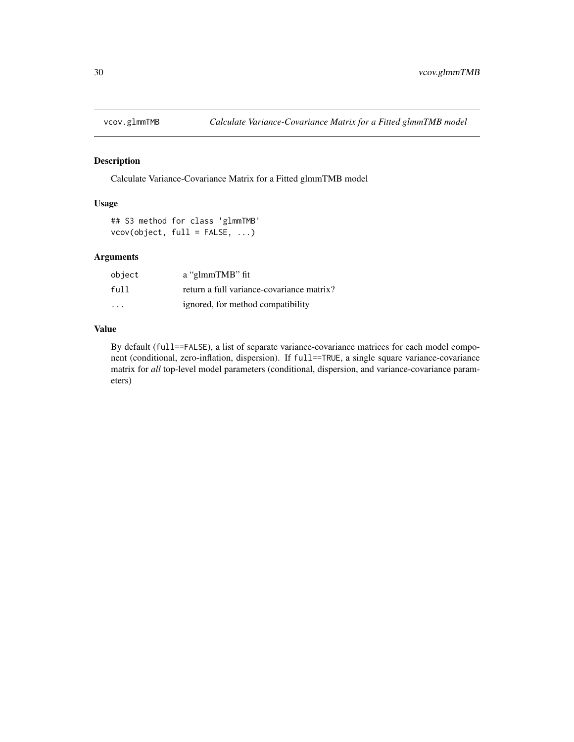<span id="page-29-0"></span>

# Description

Calculate Variance-Covariance Matrix for a Fitted glmmTMB model

# Usage

## S3 method for class 'glmmTMB' vcov(object, full = FALSE, ...)

# Arguments

| object                  | a "glmmTMB" fit                           |
|-------------------------|-------------------------------------------|
| full                    | return a full variance-covariance matrix? |
| $\cdot$ $\cdot$ $\cdot$ | ignored, for method compatibility         |

# Value

By default (full==FALSE), a list of separate variance-covariance matrices for each model component (conditional, zero-inflation, dispersion). If full==TRUE, a single square variance-covariance matrix for *all* top-level model parameters (conditional, dispersion, and variance-covariance parameters)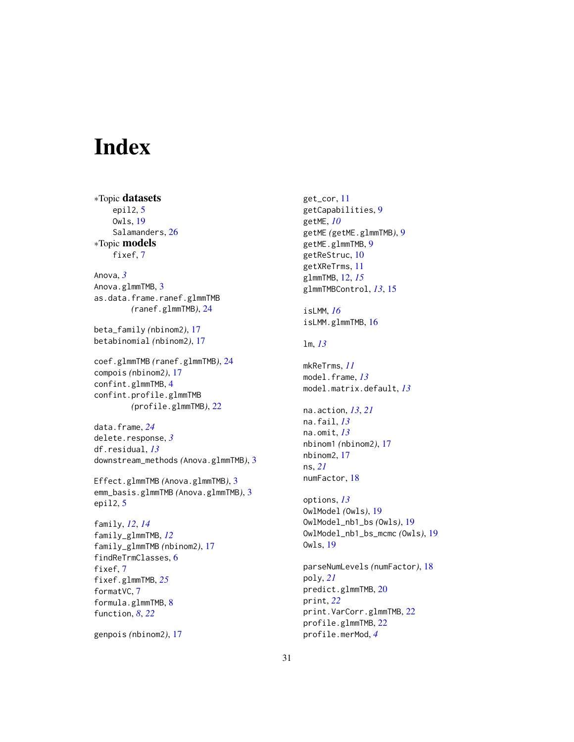# <span id="page-30-0"></span>Index

∗Topic datasets epil2, [5](#page-4-0) Owls, [19](#page-18-0) Salamanders, [26](#page-25-0) ∗Topic models fixef, [7](#page-6-0) Anova, *[3](#page-2-0)* Anova.glmmTMB, [3](#page-2-0) as.data.frame.ranef.glmmTMB *(*ranef.glmmTMB*)*, [24](#page-23-0) beta\_family *(*nbinom2*)*, [17](#page-16-0) betabinomial *(*nbinom2*)*, [17](#page-16-0) coef.glmmTMB *(*ranef.glmmTMB*)*, [24](#page-23-0) compois *(*nbinom2*)*, [17](#page-16-0) confint.glmmTMB, [4](#page-3-0) confint.profile.glmmTMB *(*profile.glmmTMB*)*, [22](#page-21-0) data.frame, *[24](#page-23-0)* delete.response, *[3](#page-2-0)* df.residual, *[13](#page-12-0)* downstream\_methods *(*Anova.glmmTMB*)*, [3](#page-2-0) Effect.glmmTMB *(*Anova.glmmTMB*)*, [3](#page-2-0) emm\_basis.glmmTMB *(*Anova.glmmTMB*)*, [3](#page-2-0) epil2, [5](#page-4-0) family, *[12](#page-11-0)*, *[14](#page-13-0)* family\_glmmTMB, *[12](#page-11-0)* family\_glmmTMB *(*nbinom2*)*, [17](#page-16-0) findReTrmClasses, [6](#page-5-0) fixef, [7](#page-6-0) fixef.glmmTMB, *[25](#page-24-0)* formatVC, [7](#page-6-0) formula.glmmTMB, [8](#page-7-0) function, *[8](#page-7-0)*, *[22](#page-21-0)*

genpois *(*nbinom2*)*, [17](#page-16-0)

get\_cor, [11](#page-10-0) getCapabilities, [9](#page-8-0) getME, *[10](#page-9-0)* getME *(*getME.glmmTMB*)*, [9](#page-8-0) getME.glmmTMB, [9](#page-8-0) getReStruc, [10](#page-9-0) getXReTrms, [11](#page-10-0) glmmTMB, [12,](#page-11-0) *[15](#page-14-0)* glmmTMBControl, *[13](#page-12-0)*, [15](#page-14-0) isLMM, *[16](#page-15-0)* isLMM.glmmTMB, [16](#page-15-0) lm, *[13](#page-12-0)* mkReTrms, *[11](#page-10-0)* model.frame, *[13](#page-12-0)* model.matrix.default, *[13](#page-12-0)* na.action, *[13](#page-12-0)*, *[21](#page-20-0)* na.fail, *[13](#page-12-0)* na.omit, *[13](#page-12-0)* nbinom1 *(*nbinom2*)*, [17](#page-16-0) nbinom2, [17](#page-16-0) ns, *[21](#page-20-0)* numFactor, [18](#page-17-0) options, *[13](#page-12-0)* OwlModel *(*Owls*)*, [19](#page-18-0) OwlModel\_nb1\_bs *(*Owls*)*, [19](#page-18-0) OwlModel\_nb1\_bs\_mcmc *(*Owls*)*, [19](#page-18-0) Owls, [19](#page-18-0) parseNumLevels *(*numFactor*)*, [18](#page-17-0) poly, *[21](#page-20-0)* predict.glmmTMB, [20](#page-19-0) print, *[22](#page-21-0)* print.VarCorr.glmmTMB, [22](#page-21-0)

profile.glmmTMB, [22](#page-21-0) profile.merMod, *[4](#page-3-0)*